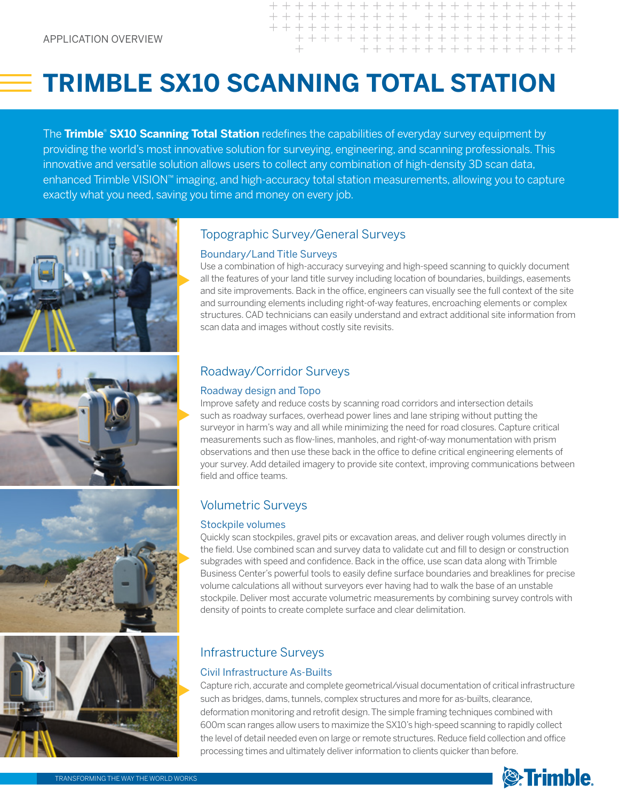# **TRIMBLE SX10 SCANNING TOTAL STATION**

The **Trimble**® **SX10 Scanning Total Station** redefines the capabilities of everyday survey equipment by providing the world's most innovative solution for surveying, engineering, and scanning professionals. This innovative and versatile solution allows users to collect any combination of high-density 3D scan data, enhanced Trimble VISION™ imaging, and high-accuracy total station measurements, allowing you to capture exactly what you need, saving you time and money on every job.









#### Topographic Survey/General Surveys

#### Boundary/Land Title Surveys

Use a combination of high-accuracy surveying and high-speed scanning to quickly document all the features of your land title survey including location of boundaries, buildings, easements and site improvements. Back in the office, engineers can visually see the full context of the site and surrounding elements including right-of-way features, encroaching elements or complex structures. CAD technicians can easily understand and extract additional site information from scan data and images without costly site revisits.

+++++++++++++++++ + + + + + + + + + + + + + + + + + +

# Roadway/Corridor Surveys

#### Roadway design and Topo

Improve safety and reduce costs by scanning road corridors and intersection details such as roadway surfaces, overhead power lines and lane striping without putting the surveyor in harm's way and all while minimizing the need for road closures. Capture critical measurements such as flow-lines, manholes, and right-of-way monumentation with prism observations and then use these back in the office to define critical engineering elements of your survey. Add detailed imagery to provide site context, improving communications between field and office teams.

## Volumetric Surveys

#### Stockpile volumes

Quickly scan stockpiles, gravel pits or excavation areas, and deliver rough volumes directly in the field. Use combined scan and survey data to validate cut and fill to design or construction subgrades with speed and confidence. Back in the office, use scan data along with Trimble Business Center's powerful tools to easily define surface boundaries and breaklines for precise volume calculations all without surveyors ever having had to walk the base of an unstable stockpile. Deliver most accurate volumetric measurements by combining survey controls with density of points to create complete surface and clear delimitation.

# Infrastructure Surveys

#### Civil Infrastructure As-Builts

Capture rich, accurate and complete geometrical/visual documentation of critical infrastructure such as bridges, dams, tunnels, complex structures and more for as-builts, clearance, deformation monitoring and retrofit design. The simple framing techniques combined with 600m scan ranges allow users to maximize the SX10's high-speed scanning to rapidly collect the level of detail needed even on large or remote structures. Reduce field collection and office processing times and ultimately deliver information to clients quicker than before.